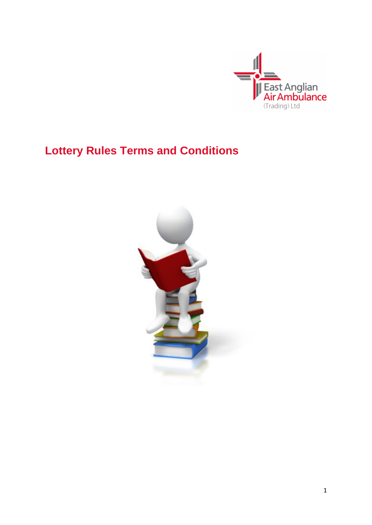

# **Lottery Rules Terms and Conditions**

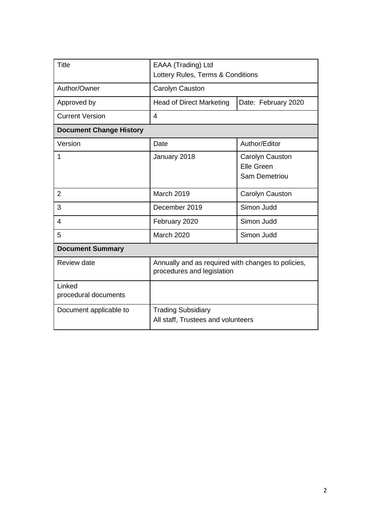| <b>Title</b>                   | EAAA (Trading) Ltd<br>Lottery Rules, Terms & Conditions                          |                                                              |
|--------------------------------|----------------------------------------------------------------------------------|--------------------------------------------------------------|
| Author/Owner                   | Carolyn Causton                                                                  |                                                              |
| Approved by                    | <b>Head of Direct Marketing</b>                                                  | Date: February 2020                                          |
| <b>Current Version</b>         | $\overline{4}$                                                                   |                                                              |
| <b>Document Change History</b> |                                                                                  |                                                              |
| Version                        | Date                                                                             | Author/Editor                                                |
| 1                              | January 2018                                                                     | Carolyn Causton<br><b>Elle Green</b><br><b>Sam Demetriou</b> |
| $\overline{2}$                 | March 2019                                                                       | Carolyn Causton                                              |
| 3                              | December 2019                                                                    | Simon Judd                                                   |
| $\overline{4}$                 | February 2020                                                                    | Simon Judd                                                   |
| 5                              | <b>March 2020</b>                                                                | Simon Judd                                                   |
| <b>Document Summary</b>        |                                                                                  |                                                              |
| <b>Review date</b>             | Annually and as required with changes to policies,<br>procedures and legislation |                                                              |
| Linked<br>procedural documents |                                                                                  |                                                              |
| Document applicable to         | <b>Trading Subsidiary</b><br>All staff, Trustees and volunteers                  |                                                              |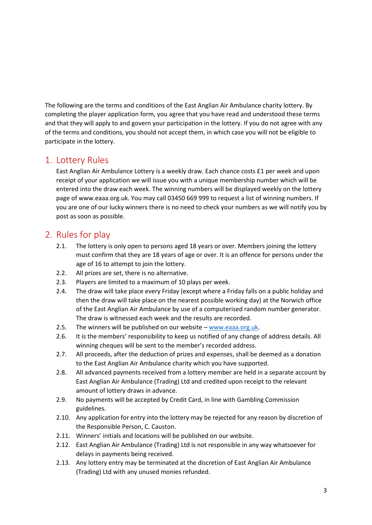The following are the terms and conditions of the East Anglian Air Ambulance charity lottery. By completing the player application form, you agree that you have read and understood these terms and that they will apply to and govern your participation in the lottery. If you do not agree with any of the terms and conditions, you should not accept them, in which case you will not be eligible to participate in the lottery.

#### 1. Lottery Rules

East Anglian Air Ambulance Lottery is a weekly draw. Each chance costs £1 per week and upon receipt of your application we will issue you with a unique membership number which will be entered into the draw each week. The winning numbers will be displayed weekly on the lottery page of www.eaaa.org.uk. You may call 03450 669 999 to request a list of winning numbers. If you are one of our lucky winners there is no need to check your numbers as we will notify you by post as soon as possible.

## 2. Rules for play

- 2.1. The lottery is only open to persons aged 18 years or over. Members joining the lottery must confirm that they are 18 years of age or over. It is an offence for persons under the age of 16 to attempt to join the lottery.
- 2.2. All prizes are set, there is no alternative.
- 2.3. Players are limited to a maximum of 10 plays per week.
- 2.4. The draw will take place every Friday (except where a Friday falls on a public holiday and then the draw will take place on the nearest possible working day) at the Norwich office of the East Anglian Air Ambulance by use of a computerised random number generator. The draw is witnessed each week and the results are recorded.
- 2.5. The winners will be published on our website [www.eaaa.org.uk.](http://www.eaaa.org.uk/)
- 2.6. It is the members' responsibility to keep us notified of any change of address details. All winning cheques will be sent to the member's recorded address.
- 2.7. All proceeds, after the deduction of prizes and expenses, shall be deemed as a donation to the East Anglian Air Ambulance charity which you have supported.
- 2.8. All advanced payments received from a lottery member are held in a separate account by East Anglian Air Ambulance (Trading) Ltd and credited upon receipt to the relevant amount of lottery draws in advance.
- 2.9. No payments will be accepted by Credit Card, in line with Gambling Commission guidelines.
- 2.10. Any application for entry into the lottery may be rejected for any reason by discretion of the Responsible Person, C. Causton.
- 2.11. Winners' initials and locations will be published on our website.
- 2.12. East Anglian Air Ambulance (Trading) Ltd is not responsible in any way whatsoever for delays in payments being received.
- 2.13. Any lottery entry may be terminated at the discretion of East Anglian Air Ambulance (Trading) Ltd with any unused monies refunded.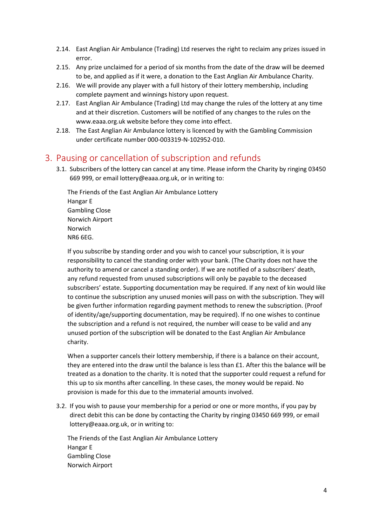- 2.14. East Anglian Air Ambulance (Trading) Ltd reserves the right to reclaim any prizes issued in error.
- 2.15. Any prize unclaimed for a period of six months from the date of the draw will be deemed to be, and applied as if it were, a donation to the East Anglian Air Ambulance Charity.
- 2.16. We will provide any player with a full history of their lottery membership, including complete payment and winnings history upon request.
- 2.17. East Anglian Air Ambulance (Trading) Ltd may change the rules of the lottery at any time and at their discretion. Customers will be notified of any changes to the rules on the www.eaaa.org.uk website before they come into effect.
- 2.18. The East Anglian Air Ambulance lottery is licenced by with the Gambling Commission under certificate number 000-003319-N-102952-010.

#### 3. Pausing or cancellation of subscription and refunds

3.1. Subscribers of the lottery can cancel at any time. Please inform the Charity by ringing 03450 669 999, or email lottery@eaaa.org.uk, or in writing to:

The Friends of the East Anglian Air Ambulance Lottery Hangar E Gambling Close Norwich Airport Norwich NR6 6EG.

If you subscribe by standing order and you wish to cancel your subscription, it is your responsibility to cancel the standing order with your bank. (The Charity does not have the authority to amend or cancel a standing order). If we are notified of a subscribers' death, any refund requested from unused subscriptions will only be payable to the deceased subscribers' estate. Supporting documentation may be required. If any next of kin would like to continue the subscription any unused monies will pass on with the subscription. They will be given further information regarding payment methods to renew the subscription. (Proof of identity/age/supporting documentation, may be required). If no one wishes to continue the subscription and a refund is not required, the number will cease to be valid and any unused portion of the subscription will be donated to the East Anglian Air Ambulance charity.

When a supporter cancels their lottery membership, if there is a balance on their account, they are entered into the draw until the balance is less than £1. After this the balance will be treated as a donation to the charity. It is noted that the supporter could request a refund for this up to six months after cancelling. In these cases, the money would be repaid. No provision is made for this due to the immaterial amounts involved.

3.2. If you wish to pause your membership for a period or one or more months, if you pay by direct debit this can be done by contacting the Charity by ringing 03450 669 999, or email lottery@eaaa.org.uk, or in writing to:

The Friends of the East Anglian Air Ambulance Lottery Hangar E Gambling Close Norwich Airport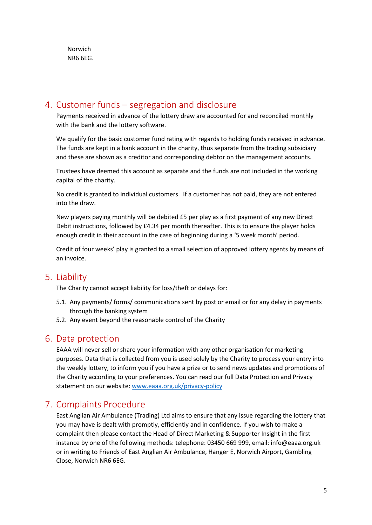### 4. Customer funds – segregation and disclosure

Payments received in advance of the lottery draw are accounted for and reconciled monthly with the bank and the lottery software.

We qualify for the basic customer fund rating with regards to holding funds received in advance. The funds are kept in a bank account in the charity, thus separate from the trading subsidiary and these are shown as a creditor and corresponding debtor on the management accounts.

Trustees have deemed this account as separate and the funds are not included in the working capital of the charity.

No credit is granted to individual customers. If a customer has not paid, they are not entered into the draw.

New players paying monthly will be debited £5 per play as a first payment of any new Direct Debit instructions, followed by £4.34 per month thereafter. This is to ensure the player holds enough credit in their account in the case of beginning during a '5 week month' period.

Credit of four weeks' play is granted to a small selection of approved lottery agents by means of an invoice.

#### 5. Liability

The Charity cannot accept liability for loss/theft or delays for:

- 5.1. Any payments/ forms/ communications sent by post or email or for any delay in payments through the banking system
- 5.2. Any event beyond the reasonable control of the Charity

#### 6. Data protection

EAAA will never sell or share your information with any other organisation for marketing purposes. Data that is collected from you is used solely by the Charity to process your entry into the weekly lottery, to inform you if you have a prize or to send news updates and promotions of the Charity according to your preferences. You can read our full Data Protection and Privacy statement on our website: [www.eaaa.org.uk/privacy-policy](https://www.eaaa.org.uk/privacy-policy)

#### 7. Complaints Procedure

East Anglian Air Ambulance (Trading) Ltd aims to ensure that any issue regarding the lottery that you may have is dealt with promptly, efficiently and in confidence. If you wish to make a complaint then please contact the Head of Direct Marketing & Supporter Insight in the first instance by one of the following methods: telephone: 03450 669 999, email: info@eaaa.org.uk or in writing to Friends of East Anglian Air Ambulance, Hanger E, Norwich Airport, Gambling Close, Norwich NR6 6EG.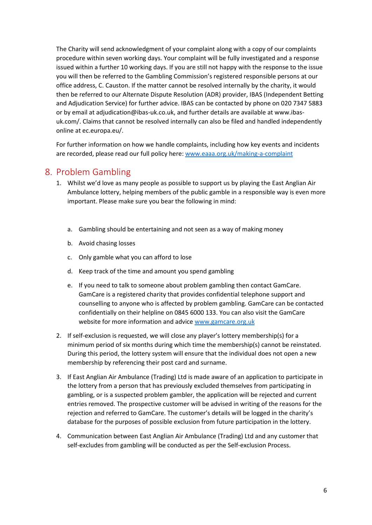The Charity will send acknowledgment of your complaint along with a copy of our complaints procedure within seven working days. Your complaint will be fully investigated and a response issued within a further 10 working days. If you are still not happy with the response to the issue you will then be referred to the Gambling Commission's registered responsible persons at our office address, C. Causton. If the matter cannot be resolved internally by the charity, it would then be referred to our Alternate Dispute Resolution (ADR) provider, IBAS (Independent Betting and Adjudication Service) for further advice. IBAS can be contacted by phone on 020 7347 5883 or by email at adjudication@ibas-uk.co.uk, and further details are available at www.ibasuk.com/. Claims that cannot be resolved internally can also be filed and handled independently online at ec.europa.eu/.

For further information on how we handle complaints, including how key events and incidents are recorded, please read our full policy here[: www.eaaa.org.uk/making-a-complaint](https://www.eaaa.org.uk/making-a-complaint)

#### 8. Problem Gambling

- 1. Whilst we'd love as many people as possible to support us by playing the East Anglian Air Ambulance lottery, helping members of the public gamble in a responsible way is even more important. Please make sure you bear the following in mind:
	- a. Gambling should be entertaining and not seen as a way of making money
	- b. Avoid chasing losses
	- c. Only gamble what you can afford to lose
	- d. Keep track of the time and amount you spend gambling
	- e. If you need to talk to someone about problem gambling then contact GamCare. GamCare is a registered charity that provides confidential telephone support and counselling to anyone who is affected by problem gambling. GamCare can be contacted confidentially on their helpline on 0845 6000 133. You can also visit the GamCare website for more information and advic[e www.gamcare.org.uk](http://www.gamcare.org.uk/)
- 2. If self-exclusion is requested, we will close any player's lottery membership(s) for a minimum period of six months during which time the membership(s) cannot be reinstated. During this period, the lottery system will ensure that the individual does not open a new membership by referencing their post card and surname.
- 3. If East Anglian Air Ambulance (Trading) Ltd is made aware of an application to participate in the lottery from a person that has previously excluded themselves from participating in gambling, or is a suspected problem gambler, the application will be rejected and current entries removed. The prospective customer will be advised in writing of the reasons for the rejection and referred to GamCare. The customer's details will be logged in the charity's database for the purposes of possible exclusion from future participation in the lottery.
- 4. Communication between East Anglian Air Ambulance (Trading) Ltd and any customer that self-excludes from gambling will be conducted as per the Self-exclusion Process.